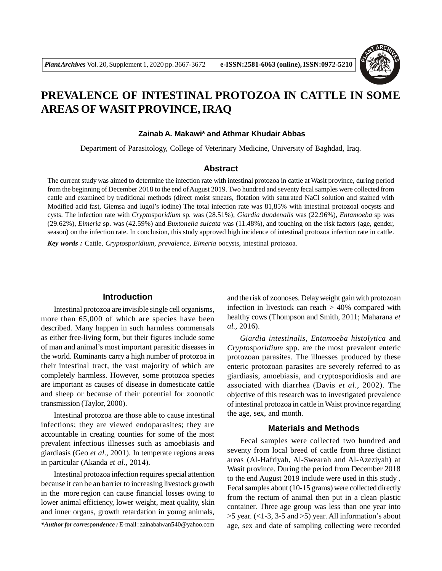

# **PREVALENCE OF INTESTINAL PROTOZOA IN CATTLE IN SOME AREAS OF WASIT PROVINCE, IRAQ**

#### **Zainab A. Makawi\* and Athmar Khudair Abbas**

Department of Parasitology, College of Veterinary Medicine, University of Baghdad, Iraq.

#### **Abstract**

The current study was aimed to determine the infection rate with intestinal protozoa in cattle at Wasit province, during period from the beginning of December 2018 to the end of August 2019. Two hundred and seventy fecal samples were collected from cattle and examined by traditional methods (direct moist smears, flotation with saturated NaCl solution and stained with Modified acid fast, Giemsa and lugol's iodine) The total infection rate was 81,85% with intestinal protozoal oocysts and cysts. The infection rate with *Crypto*sp*oridium* sp*.* was (28.51%), *Giardia duodenalis* was (22.96%), *Entamoeba* sp was (29.62%), *Eimeria* sp. was (42.59%) and *Buxtonella sulcata* was (11.48%), and touching on the risk factors (age, gender, season) on the infection rate. In conclusion, this study approved high incidence of intestinal protozoa infection rate in cattle.

*Key words :* Cattle, *Crypto*sp*oridium*, *prevalence, Eimeria* oocysts, intestinal protozoa.

## **Introduction**

Intestinal protozoa are invisible single cell organisms, more than 65,000 of which are species have been described. Many happen in such harmless commensals as either free-living form, but their figures include some of man and animal's most important parasitic diseases in the world. Ruminants carry a high number of protozoa in their intestinal tract, the vast majority of which are completely harmless. However, some protozoa species are important as causes of disease in domesticate cattle and sheep or because of their potential for zoonotic transmission (Taylor, 2000).

Intestinal protozoa are those able to cause intestinal infections; they are viewed endoparasites; they are accountable in creating counties for some of the most prevalent infectious illnesses such as amoebiasis and giardiasis (Geo *et al.,* 2001). In temperate regions areas in particular (Akanda *et al.,* 2014).

Intestinal protozoa infection requires special attention because it can be an barrier to increasing livestock growth in the more region can cause financial losses owing to lower animal efficiency, lower weight, meat quality, skin and inner organs, growth retardation in young animals,

and the risk of zoonoses. Delay weight gain with protozoan infection in livestock can reach  $> 40\%$  compared with healthy cows (Thompson and Smith, 2011; Maharana *et al.,* 2016).

*Giardia intestinalis*, *Entamoeba histolytica* and *Crypto*sp*oridium* spp. are the most prevalent enteric protozoan parasites. The illnesses produced by these enteric protozoan parasites are severely referred to as giardiasis, amoebiasis, and cryptosporidiosis and are associated with diarrhea (Davis *et al.,* 2002). The objective of this research was to investigated prevalence of intestinal protozoa in cattle in Waist province regarding the age, sex, and month.

## **Materials and Methods**

Fecal samples were collected two hundred and seventy from local breed of cattle from three distinct areas (Al-Hafriyah, Al-Swearah and Al-Azeziyah) at Wasit province. During the period from December 2018 to the end August 2019 include were used in this study . Fecal samples about (10-15 grams) were collected directly from the rectum of animal then put in a clean plastic container. Three age group was less than one year into  $>5$  year. (<1-3, 3-5 and  $>5$ ) year. All information's about age, sex and date of sampling collecting were recorded

*<sup>\*</sup>Author for corre*sp*ondence :* E-mail : zainabalwan540@yahoo.com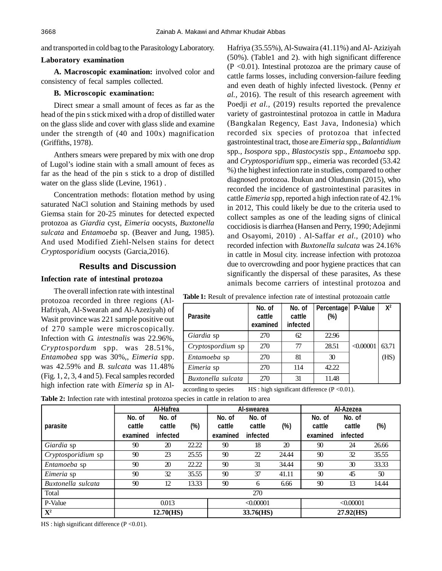and transported in cold bag to the Parasitology Laboratory.

#### **Laboratory examination**

**A. Macroscopic examination:** involved color and consistency of fecal samples collected.

## **B. Microscopic examination:**

Direct smear a small amount of feces as far as the head of the pin s stick mixed with a drop of distilled water on the glass slide and cover with glass slide and examine under the strength of (40 and 100x) magnification (Griffiths, 1978).

Anthers smears were prepared by mix with one drop of Lugol's iodine stain with a small amount of feces as far as the head of the pin s stick to a drop of distilled water on the glass slide (Levine, 1961) .

Concentration methods: flotation method by using saturated NaCl solution and Staining methods by used Giemsa stain for 20-25 minutes for detected expected protozoa as *Giardia* cyst, *Eimeria* oocysts, *Buxtonella sulcata* and *Entamoeba* sp. (Beaver and Jung, 1985). And used Modified Ziehl-Nelsen stains for detect *Crypto*sp*oridium* oocysts (Garcia,2016).

# **Results and Discussion**

## **Infection rate of intestinal protozoa**

The overall infection rate with intestinal protozoa recorded in three regions (Al-Hafriyah, Al-Swearah and Al-Azeziyah) of Wasit province was 221 sample positive out of 270 sample were microscopically. Infection with *G. intestnalis* was 22.96%, *Crypto*sp*ordum* spp. was 28.51%, *Entamobea* spp was 30%,, *Eimeria* spp. was 42.59% and *B. sulcata* was 11.48% (Fig. 1, 2, 3, 4 and 5). Fecal samples recorded high infection rate with *Eimeria* sp in AlHafriya (35.55%), Al-Suwaira (41.11%) and Al- Aziziyah (50%). (Table1 and 2). with high significant difference  $(P \le 0.01)$ . Intestinal protozoa are the primary cause of cattle farms losses, including conversion-failure feeding and even death of highly infected livestock. (Penny *et al.,* 2016). The result of this research agreement with Poedji *et al.*, (2019) results reported the prevalence variety of gastrointestinal protozoa in cattle in Madura (Bangkalan Regency, East Java, Indonesia) which recorded six species of protozoa that infected gastrointestinal tract, those are *Eimeria* spp.*, Balantidium* spp*., Iso*sp*ora* spp*., Blastocystis* spp.*, Entamoeba* spp. and *Crypto*sp*oridium* spp., eimeria was recorded (53.42 %) the highest infection rate in studies, compared to other diagnosed protozoa. Ibukun and Oludunsin (2015), who recorded the incidence of gastrointestinal parasites in cattle *Eimeria* spp, reported a high infection rate of 42.1% in 2012, This could likely be due to the criteria used to collect samples as one of the leading signs of clinical coccidiosis is diarrhea (Hansen and Perry, 1990; Adejinmi and Osayomi, 2010) . Al-Saffar *et al.,* (2010) who recorded infection with *Buxtonella sulcata* was 24.16% in cattle in Mosul city. increase infection with protozoa due to overcrowding and poor hygiene practices that can significantly the dispersal of these parasites, As these animals become carriers of intestinal protozoa and

| <b>Parasite</b>                                                       | No. of<br>cattle<br>examined | No. of<br>cattle<br>infected | Percentage<br>(%) | P-Value   | $X^2$ |  |
|-----------------------------------------------------------------------|------------------------------|------------------------------|-------------------|-----------|-------|--|
| Giardia sp                                                            | 270                          | 62                           | 22.96             |           |       |  |
| Cryptospordium sp                                                     | 270                          | 77                           | 28.51             | < 0.00001 | 63.71 |  |
| <i>Entamoeba</i> sp                                                   | 270                          | 81                           | 30                |           | (HS)  |  |
| Eimeria sp                                                            | 270                          | 114                          | 42.22             |           |       |  |
| Buxtonella sulcata                                                    | 270                          | 31                           | 11.48             |           |       |  |
| according to species<br>$HS:$ high significant difference (P < 0.01). |                              |                              |                   |           |       |  |

**Table 1:** Result of prevalence infection rate of intestinal protozoain cattle

**Table 2:** Infection rate with intestinal protozoa species in cattle in relation to area

|                    | Al-Hafrea                    |                              | Al-swearea | Al-Azezea                    |                              |       |                              |                              |        |
|--------------------|------------------------------|------------------------------|------------|------------------------------|------------------------------|-------|------------------------------|------------------------------|--------|
| parasite           | No. of<br>cattle<br>examined | No. of<br>cattle<br>infected | (%)        | No. of<br>cattle<br>examined | No. of<br>cattle<br>infected | (%)   | No. of<br>cattle<br>examined | No. of<br>cattle<br>infected | $(\%)$ |
| Giardia sp         | 90                           | 20                           | 22.22      | 90                           | 18                           | 20    | 90                           | 24                           | 26.66  |
| Cryptosporidium sp | 90                           | 23                           | 25.55      | 90                           | 22                           | 24.44 | 90                           | 32                           | 35.55  |
| Entamoeba sp       | 90                           | 20                           | 22.22      | 90                           | 31                           | 34.44 | 90                           | 30                           | 33.33  |
| Eimeria sp         | 90                           | 32                           | 35.55      | 90                           | 37                           | 41.11 | 90                           | 45                           | 50     |
| Buxtonella sulcata | 90                           | 12                           | 13.33      | 90                           | 6                            | 6.66  | 90                           | 13                           | 14.44  |
| Total              |                              |                              |            |                              | 270                          |       |                              |                              |        |
| P-Value            | 0.013                        |                              | < 0.00001  |                              | < 0.00001                    |       |                              |                              |        |
| ${\bf X}^2$        | 12.70(HS)                    |                              | 33.76(HS)  |                              | 27.92(HS)                    |       |                              |                              |        |

HS : high significant difference (P < 0.01).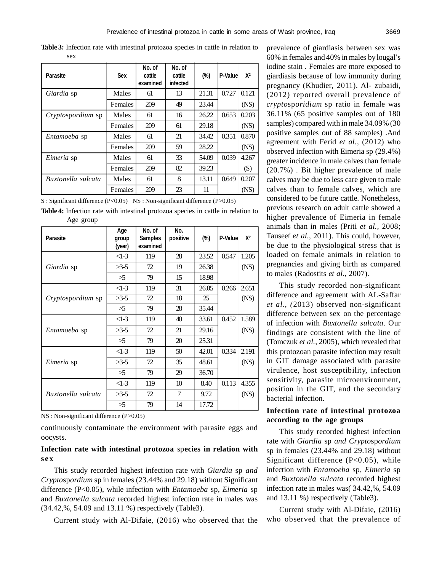**Table 3:** Infection rate with intestinal protozoa species in cattle in relation to sex

| <b>Parasite</b>          | <b>Sex</b>     | No. of<br>cattle<br>examined | No. of<br>cattle<br>infected | (%)   | P-Value | $X^2$ |
|--------------------------|----------------|------------------------------|------------------------------|-------|---------|-------|
| Giardia sp               | Males          | 61                           | 13                           | 21.31 | 0.727   | 0.121 |
|                          | <b>Females</b> | 209                          | 49                           | 23.44 |         | (NS)  |
| <i>Cryptospordium</i> sp | Males          | 61                           | 16                           | 26.22 | 0.653   | 0.203 |
|                          | Females        | 209                          | 61                           | 29.18 |         | (NS)  |
| <i>Entamoeba</i> sp      | Males          | 61                           | 21                           | 34.42 | 0.351   | 0.870 |
|                          | <b>Females</b> | 209                          | 59                           | 28.22 |         | (NS)  |
| Eimeria sp               | Males          | 61                           | 33                           | 54.09 | 0.039   | 4.267 |
|                          | Females        | 209                          | 82                           | 39.23 |         | (S)   |
| Buxtonella sulcata       | Males          | 61                           | 8                            | 13.11 | 0.649   | 0.207 |
|                          | Females        | 209                          | 23                           | 11    |         | (NS)  |

S : Significant difference (P<0.05) NS : Non-significant difference (P>0.05)

**Table 4:** Infection rate with intestinal protozoa species in cattle in relation to Age group

| <b>Parasite</b>          | Age<br>group<br>(year) | No. of<br><b>Samples</b><br>examined | No.<br>positive | (%)   | P-Value | $X^2$ |
|--------------------------|------------------------|--------------------------------------|-----------------|-------|---------|-------|
|                          | $<1-3$                 | 119                                  | 28              | 23.52 | 0.547   | 1.205 |
| Giardia sp               | $>3-5$                 | 72                                   | 19              | 26.38 |         | (NS)  |
|                          | >5                     | 79                                   | 15              | 18.98 |         |       |
|                          | $<1-3$                 | 119                                  | 31              | 26.05 | 0.266   | 2.651 |
| <i>Cryptospordium</i> sp | $>3-5$                 | 72                                   | 18              | 25    |         | (NS)  |
|                          | >5                     | 79                                   | 28              | 35.44 |         |       |
| <i>Entamoeba</i> sp      | $<1-3$                 | 119                                  | 40              | 33.61 | 0.452   | 1.589 |
|                          | $>3-5$                 | 72                                   | 21              | 29.16 |         | (NS)  |
|                          | >5                     | 79                                   | 20              | 25.31 |         |       |
| Eimeria sp               | $<1-3$                 | 119                                  | 50              | 42.01 | 0.334   | 2.191 |
|                          | $>3-5$                 | 72                                   | 35              | 48.61 |         | (NS)  |
|                          | >5                     | 79                                   | 29              | 36.70 |         |       |
| Buxtonella sulcata       | $<1-3$                 | 119                                  | 10              | 8.40  | 0.113   | 4.355 |
|                          | $>3-5$                 | 72                                   | 7               | 9.72  |         | (NS)  |
|                          | >5                     | 79                                   | 14              | 17.72 |         |       |

NS : Non-significant difference (P>0.05)

continuously contaminate the environment with parasite eggs and oocysts.

# **Infection rate with intestinal protozoa** sp**ecies in relation with se x**

This study recorded highest infection rate with *Giardia* sp *and Crypto*sp*ordium* sp in females (23.44% and 29.18) without Significant difference (P<0.05), while infection with *Entamoeba* sp*, Eimeria* sp and *Buxtonella sulcata* recorded highest infection rate in males was (34.42,%, 54.09 and 13.11 %) respectively (Table3).

Current study with Al-Difaie, (2016) who observed that the

prevalence of giardiasis between sex was 60% in females and 40% in males by lougal's iodine stain . Females are more exposed to giardiasis because of low immunity during pregnancy (Khudier, 2011). Al- zubaidi, (2012) reported overall prevalence of *crypto*sp*oridium* sp ratio in female was 36.11% (65 positive samples out of 180 samples) compared with in male 34.09% (30 positive samples out of 88 samples) .And agreement with Ferid *et al.,* (2012) who observed infection with Eimeria sp (29.4%) greater incidence in male calves than female (20.7%) . Bit higher prevalence of male calves may be due to less care given to male calves than to female calves, which are considered to be future cattle. Nonetheless, previous research on adult cattle showed a higher prevalence of Eimeria in female animals than in males (Priti *et al.,* 2008; Tauseef *et al.,* 2011). This could, however, be due to the physiological stress that is loaded on female animals in relation to pregnancies and giving birth as compared to males (Radostits *et al.,* 2007).

This study recorded non-significant difference and agreement with AL-Saffar *et al., (*2013) observed non-significant difference between sex on the percentage of infection with *Buxtonella sulcata*. Our findings are consistent with the line of (Tomczuk *et al.,* 2005), which revealed that this protozoan parasite infection may result in GIT damage associated with parasite virulence, host susceptibility, infection sensitivity, parasite microenvironment, position in the GIT, and the secondary bacterial infection.

## **Infection rate of intestinal protozoa according to the age groups**

This study recorded highest infection rate with *Giardia* sp *and Crypto*sp*ordium* sp in females (23.44% and 29.18) without Significant difference (P<0.05), while infection with *Entamoeba* sp*, Eimeria* sp and *Buxtonella sulcata* recorded highest infection rate in males was( 34.42,%, 54.09 and 13.11 %) respectively (Table3).

Current study with Al-Difaie, (2016) who observed that the prevalence of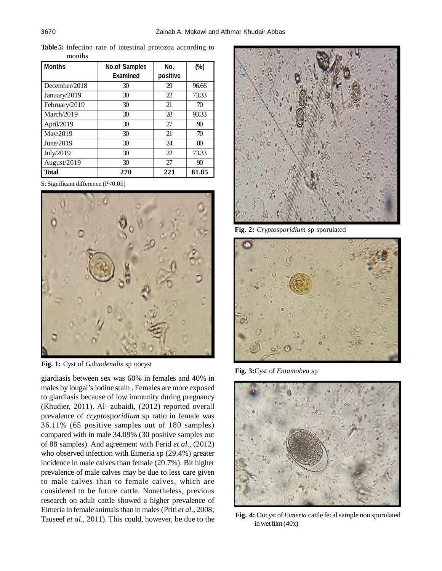| <b>Months</b> | <b>No.of Samples</b><br><b>Examined</b> | No.<br>positive       | $(\%)$ |
|---------------|-----------------------------------------|-----------------------|--------|
| December/2018 | 30                                      | 29                    | 96.66  |
| January/2019  | 30                                      | 22                    | 73.33  |
| February/2019 | 30                                      | 21                    | 70     |
| March/2019    | 30                                      | 28                    | 93.33  |
| April/2019    | 30                                      | 27                    | 90     |
| May/2019      | 30                                      | 21                    | 70     |
| June/2019     | 30                                      | 24                    | 80     |
| July/2019     | 30                                      | $\mathcal{D}_{\cdot}$ | 73.33  |
| August/2019   | 30                                      | 27                    | 90     |
| <b>Total</b>  | 270                                     | 221                   | 81.85  |

**Table 5:** Infection rate of intestinal protozoa according to months

S: Significant difference (P<0.05)



**Fig. 1:** Cyst of *G.duodenalis* sp oocyst

giardiasis between sex was 60% in females and 40% in males by lougal's iodine stain . Females are more exposed to giardiasis because of low immunity during pregnancy (Khudier, 2011). Al- zubaidi, (2012) reported overall prevalence of *crypto*sp*oridium* sp ratio in female was 36.11% (65 positive samples out of 180 samples) compared with in male 34.09% (30 positive samples out of 88 samples). And agreement with Ferid *et al.,* (2012) who observed infection with Eimeria sp (29.4%) greater incidence in male calves than female (20.7%). Bit higher prevalence of male calves may be due to less care given to male calves than to female calves, which are considered to be future cattle. Nonetheless, previous research on adult cattle showed a higher prevalence of Eimeria in female animals than in males (Priti *et al.,* 2008; Tauseef *et al.,* 2011). This could, however, be due to the



**Fig. 2:** *Crypto*sp*oridium* sp sporulated



**Fig. 3:**Cyst of *Entamobea* sp



**Fig. 4:** Oocyst of *Eimeria* cattle fecal sample non sporulated in wet film (40x)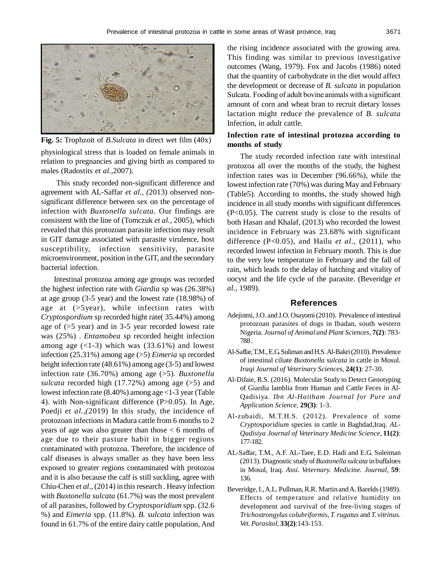

**Fig. 5:** Trophzoit of *B.Sulcata* in direct wet film (40x)

physiological stress that is loaded on female animals in relation to pregnancies and giving birth as compared to males (Radostits *et al.,*2007).

This study recorded non-significant difference and agreement with AL-Saffar *et al., (*2013) observed nonsignificant difference between sex on the percentage of infection with *Buxtonella sulcata*. Our findings are consistent with the line of (Tomczuk *et al.,* 2005), which revealed that this protozoan parasite infection may result in GIT damage associated with parasite virulence, host susceptibility, infection sensitivity, parasite microenvironment, position in the GIT, and the secondary bacterial infection.

Intestinal protozoa among age groups was recorded the highest infection rate with *Giardia* sp was (26.38%) at age group (3-5 year) and the lowest rate (18.98%) of age at (>5year), while infection rates with *Crypto*sp*ordium* sp recorded hight rate( 35.44%) among age of (>5 year) and in 3-5 year recorded lowest rate was (25%) . *Entamobea* sp recorded height infection among age  $(\langle 1-3 \rangle)$  which was  $(33.61\%)$  and lowest infection (25.31%) among age (>5) *Eimeria* sp recorded height infection rate (48.61%) among age (3-5) and lowest infection rate (36.70%) among age (>5). *Buxtonella sulcata* recorded high (17.72%) among age (>5) and lowest infection rate (8.40%) among age <1-3 year (Table 4). with Non-significant difference (P>0.05). In Age, Poedji *et al.,(*2019) In this study, the incidence of protozoan infections in Madura cattle from 6 months to 2 years of age was also greater than those < 6 months of age due to their pasture habit in bigger regions contaminated with protozoa. Therefore, the incidence of calf diseases is always smaller as they have been less exposed to greater regions contaminated with protozoa and it is also because the calf is still suckling, agree with Chiu-Chen *et al.,* (2014) in this research . Heavy infection with *Buxtonella sulcata* (61.7%) was the most prevalent of all parasites, followed by *Crypto*sp*oridium* spp. (32.6 %) and *Eimeria* spp. (11.8%). *B. sulcata* infection was found in 61.7% of the entire dairy cattle population, And

the rising incidence associated with the growing area. This finding was similar to previous investigative outcomes (Wang, 1979). Fox and Jacobs (1986) noted that the quantity of carbohydrate in the diet would affect the development or decrease of *B. sulcata* in population Sulcata. Fooding of adult bovine animals with a significant amount of corn and wheat bran to recruit dietary losses lactation might reduce the prevalence of *B. sulcata* Infection, in adult cattle.

# **Infection rate of intestinal protozoa according to months of study**

The study recorded infection rate with intestinal protozoa all over the months of the study, the highest infection rates was in December (96.66%), while the lowest infection rate (70%) was during May and February (Table5). According to months, the study showed high incidence in all study months with significant differences (P<0.05). The current study is close to the results of both Hasan and Khalaf, (2013) who recorded the lowest incidence in February was 23.68% with significant difference (P<0.05), and Hailu *et al.,* (2011), who recorded lowest infection in February month. This is due to the very low temperature in February and the fall of rain, which leads to the delay of hatching and vitality of oocyst and the life cycle of the parasite. (Beveridge *et al.,* 1989).

#### **References**

- Adejinmi, J.O. and J.O. Osayomi (2010). Prevalence of intestinal protozoan parasites of dogs in Ibadan, south western Nigeria. *Journal of Animal and Plant Sciences,* **7(2)**: 783- 788 .
- Al-Saffar, T.M., E.G. Suliman and H.S. Al-Bakri (2010). Prevalence of intestinal ciliate *Buxtonella sulcata* in cattle in Mosul. *Iraqi Journal of Veterinary Sciences,* **24(1)**: 27-30.
- Al-Difaie, R.S. (2016). Molecular Study to Detect Genotyping of Giardia lamblia from Human and Cattle Feces in Al-Qadisiya. *Ibn Al-Haitham Journal for Pure and Application Science,* **29(3)**: 1-3.
- Al-zubaidi, M.T.H.S. (2012). Prevalence of some *Crypto*sp*oridium* species in cattle in Baghdad,Iraq. *AL-Qadisiya Journal of Veterinary Medicine Science,* **11(2)**: 177-182.
- AL-Saffar, T.M., A.F. AL-Taee, E.D. Hadi and E.G. Suleiman (2013). Diagnostic study of *Buxtonella sulcata* in buffaloes in Mosul, Iraq. *Assi. Veternary. Medicine. Journal,* **59**: 136.
- Beveridge, I., A.L. Pullman, R.R. Martin and A. Barelds (1989). Effects of temperature and relative humidity on development and survival of the free-living stages of *Trichostrongylus colubriformis*, *T. rugatus* and *T. vitrinus*. *Vet. Parasitol,* **33(2)**:143-153.